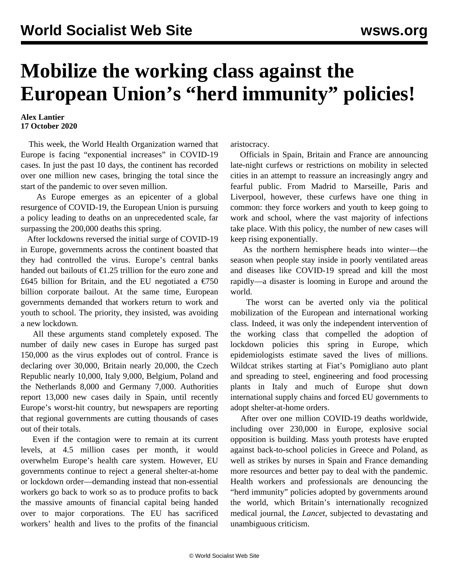## **Mobilize the working class against the European Union's "herd immunity" policies!**

## **Alex Lantier 17 October 2020**

 This week, the World Health Organization warned that Europe is facing "exponential increases" in COVID-19 cases. In just the past 10 days, the continent has recorded over one million new cases, bringing the total since the start of the pandemic to over seven million.

 As Europe emerges as an epicenter of a global resurgence of COVID-19, the European Union is pursuing a policy leading to deaths on an unprecedented scale, far surpassing the 200,000 deaths this spring.

 After lockdowns reversed the initial surge of COVID-19 in Europe, governments across the continent boasted that they had controlled the virus. Europe's central banks handed out bailouts of  $\epsilon$ 1.25 trillion for the euro zone and £645 billion for Britain, and the EU negotiated a  $\epsilon$ 750 billion corporate bailout. At the same time, European governments demanded that workers return to work and youth to school. The priority, they insisted, was avoiding a new lockdown.

 All these arguments stand completely exposed. The number of daily new cases in Europe has surged past 150,000 as the virus explodes out of control. France is declaring over 30,000, Britain nearly 20,000, the Czech Republic nearly 10,000, Italy 9,000, Belgium, Poland and the Netherlands 8,000 and Germany 7,000. Authorities report 13,000 new cases daily in Spain, until recently Europe's worst-hit country, but newspapers are reporting that regional governments are cutting thousands of cases out of their totals.

 Even if the contagion were to remain at its current levels, at 4.5 million cases per month, it would overwhelm Europe's health care system. However, EU governments continue to reject a general shelter-at-home or lockdown order—demanding instead that non-essential workers go back to work so as to produce profits to back the massive amounts of financial capital being handed over to major corporations. The EU has sacrificed workers' health and lives to the profits of the financial

aristocracy.

 Officials in Spain, Britain and France are announcing late-night curfews or restrictions on mobility in selected cities in an attempt to reassure an increasingly angry and fearful public. From Madrid to Marseille, Paris and Liverpool, however, these curfews have one thing in common: they force workers and youth to keep going to work and school, where the vast majority of infections take place. With this policy, the number of new cases will keep rising exponentially.

 As the northern hemisphere heads into winter—the season when people stay inside in poorly ventilated areas and diseases like COVID-19 spread and kill the most rapidly—a disaster is looming in Europe and around the world.

 The worst can be averted only via the political mobilization of the European and international working class. Indeed, it was only the independent intervention of the working class that compelled the adoption of lockdown policies this spring in Europe, which epidemiologists estimate saved the lives of millions. Wildcat strikes starting at Fiat's Pomigliano auto plant and spreading to steel, engineering and food processing plants in Italy and much of Europe shut down international supply chains and forced EU governments to adopt shelter-at-home orders.

 After over one million COVID-19 deaths worldwide, including over 230,000 in Europe, explosive social opposition is building. Mass youth protests have erupted against back-to-school policies in Greece and Poland, as well as strikes by nurses in Spain and France demanding more resources and better pay to deal with the pandemic. Health workers and professionals are denouncing the "herd immunity" policies adopted by governments around the world, which Britain's internationally recognized medical journal, the *Lancet*, subjected to devastating and unambiguous criticism.